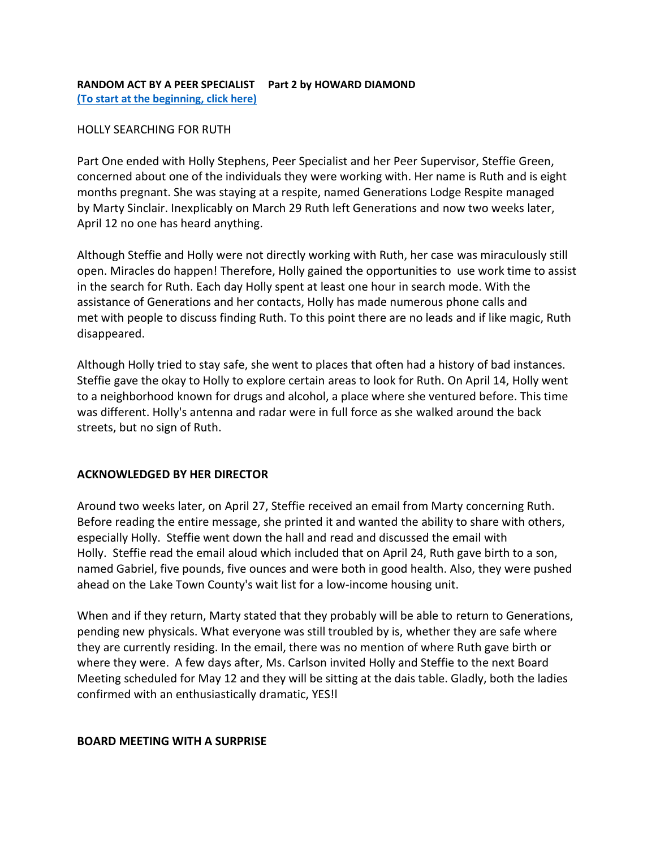# **RANDOM ACT BY A PEER SPECIALIST Part 2 by HOWARD DIAMOND [\(To start at the beginning, click here\)](https://aps-community.org/wp-content/uploads/2022/04/042122-RANDOM-ACT-BY-A-PEER-SPECIALIST.pdf)**

### HOLLY SEARCHING FOR RUTH

Part One ended with Holly Stephens, Peer Specialist and her Peer Supervisor, Steffie Green, concerned about one of the individuals they were working with. Her name is Ruth and is eight months pregnant. She was staying at a respite, named Generations Lodge Respite managed by Marty Sinclair. Inexplicably on March 29 Ruth left Generations and now two weeks later, April 12 no one has heard anything.

Although Steffie and Holly were not directly working with Ruth, her case was miraculously still open. Miracles do happen! Therefore, Holly gained the opportunities to use work time to assist in the search for Ruth. Each day Holly spent at least one hour in search mode. With the assistance of Generations and her contacts, Holly has made numerous phone calls and met with people to discuss finding Ruth. To this point there are no leads and if like magic, Ruth disappeared.

Although Holly tried to stay safe, she went to places that often had a history of bad instances. Steffie gave the okay to Holly to explore certain areas to look for Ruth. On April 14, Holly went to a neighborhood known for drugs and alcohol, a place where she ventured before. This time was different. Holly's antenna and radar were in full force as she walked around the back streets, but no sign of Ruth.

## **ACKNOWLEDGED BY HER DIRECTOR**

Around two weeks later, on April 27, Steffie received an email from Marty concerning Ruth. Before reading the entire message, she printed it and wanted the ability to share with others, especially Holly. Steffie went down the hall and read and discussed the email with Holly. Steffie read the email aloud which included that on April 24, Ruth gave birth to a son, named Gabriel, five pounds, five ounces and were both in good health. Also, they were pushed ahead on the Lake Town County's wait list for a low-income housing unit.

When and if they return, Marty stated that they probably will be able to return to Generations, pending new physicals. What everyone was still troubled by is, whether they are safe where they are currently residing. In the email, there was no mention of where Ruth gave birth or where they were. A few days after, Ms. Carlson invited Holly and Steffie to the next Board Meeting scheduled for May 12 and they will be sitting at the dais table. Gladly, both the ladies confirmed with an enthusiastically dramatic, YES!l

## **BOARD MEETING WITH A SURPRISE**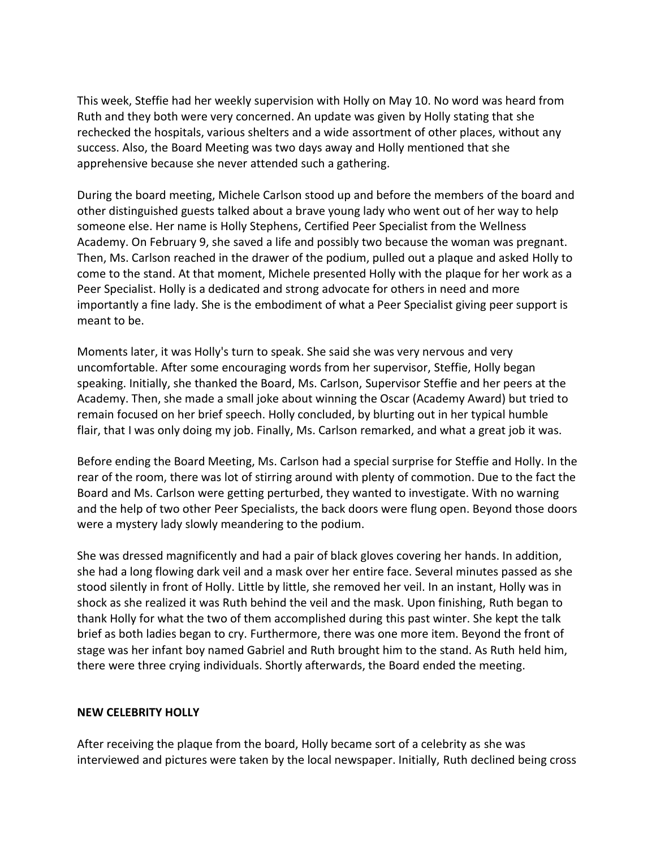This week, Steffie had her weekly supervision with Holly on May 10. No word was heard from Ruth and they both were very concerned. An update was given by Holly stating that she rechecked the hospitals, various shelters and a wide assortment of other places, without any success. Also, the Board Meeting was two days away and Holly mentioned that she apprehensive because she never attended such a gathering.

During the board meeting, Michele Carlson stood up and before the members of the board and other distinguished guests talked about a brave young lady who went out of her way to help someone else. Her name is Holly Stephens, Certified Peer Specialist from the Wellness Academy. On February 9, she saved a life and possibly two because the woman was pregnant. Then, Ms. Carlson reached in the drawer of the podium, pulled out a plaque and asked Holly to come to the stand. At that moment, Michele presented Holly with the plaque for her work as a Peer Specialist. Holly is a dedicated and strong advocate for others in need and more importantly a fine lady. She is the embodiment of what a Peer Specialist giving peer support is meant to be.

Moments later, it was Holly's turn to speak. She said she was very nervous and very uncomfortable. After some encouraging words from her supervisor, Steffie, Holly began speaking. Initially, she thanked the Board, Ms. Carlson, Supervisor Steffie and her peers at the Academy. Then, she made a small joke about winning the Oscar (Academy Award) but tried to remain focused on her brief speech. Holly concluded, by blurting out in her typical humble flair, that I was only doing my job. Finally, Ms. Carlson remarked, and what a great job it was.

Before ending the Board Meeting, Ms. Carlson had a special surprise for Steffie and Holly. In the rear of the room, there was lot of stirring around with plenty of commotion. Due to the fact the Board and Ms. Carlson were getting perturbed, they wanted to investigate. With no warning and the help of two other Peer Specialists, the back doors were flung open. Beyond those doors were a mystery lady slowly meandering to the podium.

She was dressed magnificently and had a pair of black gloves covering her hands. In addition, she had a long flowing dark veil and a mask over her entire face. Several minutes passed as she stood silently in front of Holly. Little by little, she removed her veil. In an instant, Holly was in shock as she realized it was Ruth behind the veil and the mask. Upon finishing, Ruth began to thank Holly for what the two of them accomplished during this past winter. She kept the talk brief as both ladies began to cry. Furthermore, there was one more item. Beyond the front of stage was her infant boy named Gabriel and Ruth brought him to the stand. As Ruth held him, there were three crying individuals. Shortly afterwards, the Board ended the meeting.

## **NEW CELEBRITY HOLLY**

After receiving the plaque from the board, Holly became sort of a celebrity as she was interviewed and pictures were taken by the local newspaper. Initially, Ruth declined being cross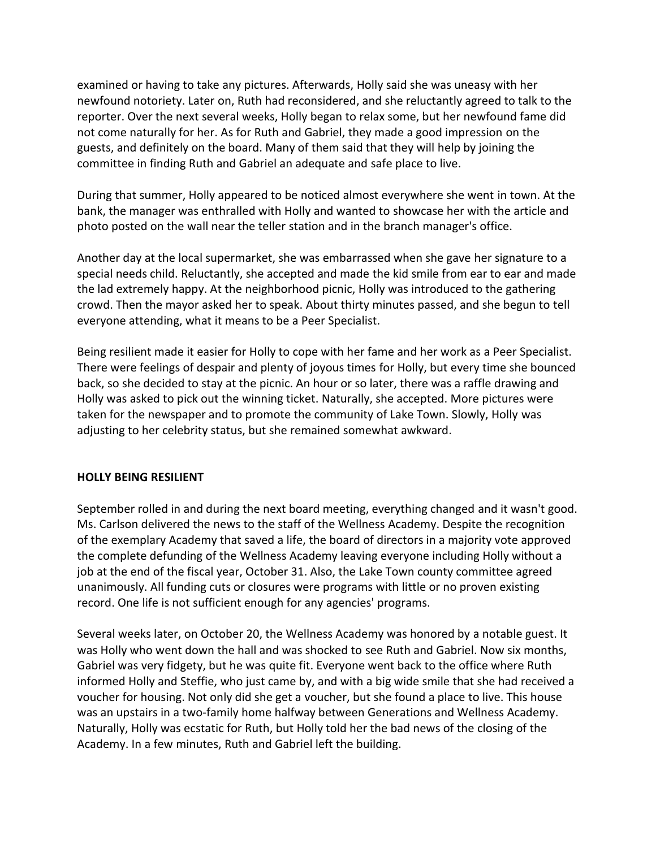examined or having to take any pictures. Afterwards, Holly said she was uneasy with her newfound notoriety. Later on, Ruth had reconsidered, and she reluctantly agreed to talk to the reporter. Over the next several weeks, Holly began to relax some, but her newfound fame did not come naturally for her. As for Ruth and Gabriel, they made a good impression on the guests, and definitely on the board. Many of them said that they will help by joining the committee in finding Ruth and Gabriel an adequate and safe place to live.

During that summer, Holly appeared to be noticed almost everywhere she went in town. At the bank, the manager was enthralled with Holly and wanted to showcase her with the article and photo posted on the wall near the teller station and in the branch manager's office.

Another day at the local supermarket, she was embarrassed when she gave her signature to a special needs child. Reluctantly, she accepted and made the kid smile from ear to ear and made the lad extremely happy. At the neighborhood picnic, Holly was introduced to the gathering crowd. Then the mayor asked her to speak. About thirty minutes passed, and she begun to tell everyone attending, what it means to be a Peer Specialist.

Being resilient made it easier for Holly to cope with her fame and her work as a Peer Specialist. There were feelings of despair and plenty of joyous times for Holly, but every time she bounced back, so she decided to stay at the picnic. An hour or so later, there was a raffle drawing and Holly was asked to pick out the winning ticket. Naturally, she accepted. More pictures were taken for the newspaper and to promote the community of Lake Town. Slowly, Holly was adjusting to her celebrity status, but she remained somewhat awkward.

## **HOLLY BEING RESILIENT**

September rolled in and during the next board meeting, everything changed and it wasn't good. Ms. Carlson delivered the news to the staff of the Wellness Academy. Despite the recognition of the exemplary Academy that saved a life, the board of directors in a majority vote approved the complete defunding of the Wellness Academy leaving everyone including Holly without a job at the end of the fiscal year, October 31. Also, the Lake Town county committee agreed unanimously. All funding cuts or closures were programs with little or no proven existing record. One life is not sufficient enough for any agencies' programs.

Several weeks later, on October 20, the Wellness Academy was honored by a notable guest. It was Holly who went down the hall and was shocked to see Ruth and Gabriel. Now six months, Gabriel was very fidgety, but he was quite fit. Everyone went back to the office where Ruth informed Holly and Steffie, who just came by, and with a big wide smile that she had received a voucher for housing. Not only did she get a voucher, but she found a place to live. This house was an upstairs in a two-family home halfway between Generations and Wellness Academy. Naturally, Holly was ecstatic for Ruth, but Holly told her the bad news of the closing of the Academy. In a few minutes, Ruth and Gabriel left the building.